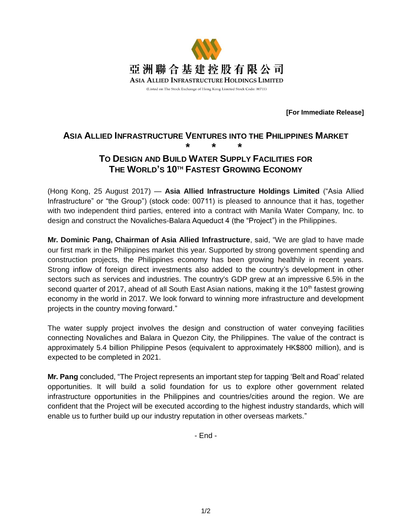

**[For Immediate Release]**

# **ASIA ALLIED INFRASTRUCTURE VENTURES INTO THE PHILIPPINES MARKET \* \* \***

## **TO DESIGN AND BUILD WATER SUPPLY FACILITIES FOR THE WORLD'S 10TH FASTEST GROWING ECONOMY**

(Hong Kong, 25 August 2017) — **Asia Allied Infrastructure Holdings Limited** ("Asia Allied Infrastructure" or "the Group") (stock code: 00711) is pleased to announce that it has, together with two independent third parties, entered into a contract with Manila Water Company, Inc. to design and construct the Novaliches-Balara Aqueduct 4 (the "Project") in the Philippines.

**Mr. Dominic Pang, Chairman of Asia Allied Infrastructure**, said, "We are glad to have made our first mark in the Philippines market this year. Supported by strong government spending and construction projects, the Philippines economy has been growing healthily in recent years. Strong inflow of foreign direct investments also added to the country's development in other sectors such as services and industries. The country's GDP grew at an impressive 6.5% in the second quarter of 2017, ahead of all South East Asian nations, making it the 10<sup>th</sup> fastest growing economy in the world in 2017. We look forward to winning more infrastructure and development projects in the country moving forward."

The water supply project involves the design and construction of water conveying facilities connecting Novaliches and Balara in Quezon City, the Philippines. The value of the contract is approximately 5.4 billion Philippine Pesos (equivalent to approximately HK\$800 million), and is expected to be completed in 2021.

**Mr. Pang** concluded, "The Project represents an important step for tapping 'Belt and Road' related opportunities. It will build a solid foundation for us to explore other government related infrastructure opportunities in the Philippines and countries/cities around the region. We are confident that the Project will be executed according to the highest industry standards, which will enable us to further build up our industry reputation in other overseas markets."

- End -